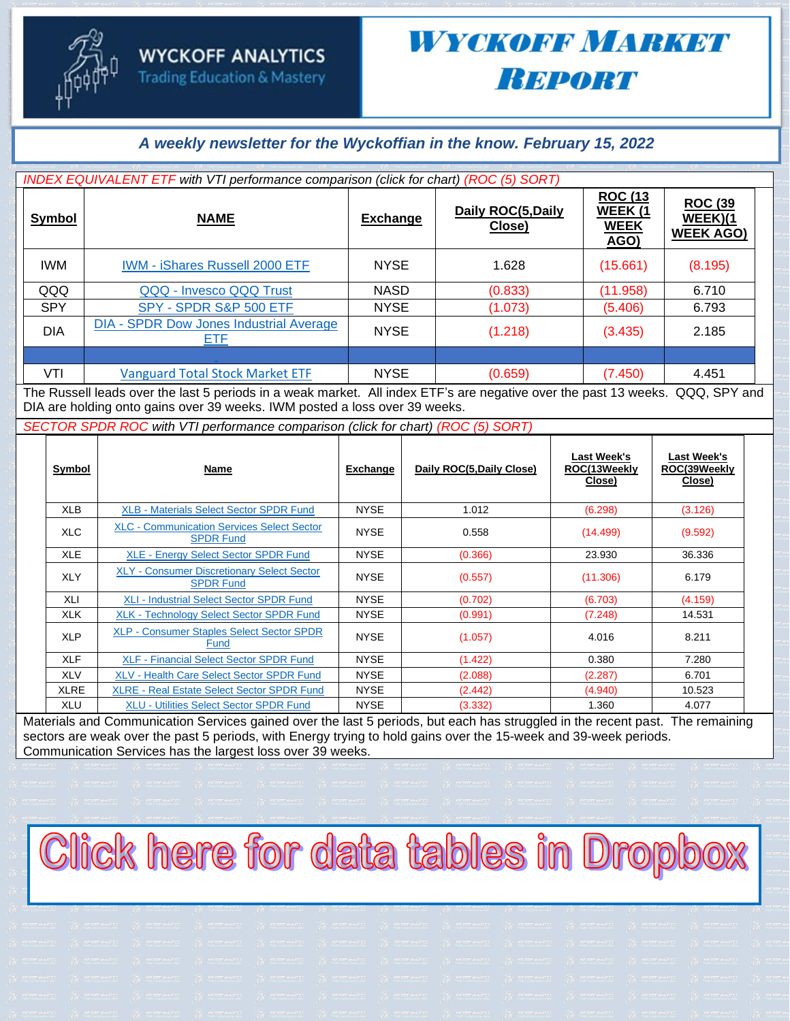#### *A weekly newsletter for the Wyckoffian in the know. February 15, 2022*

| INDEX EQUIVALENT ETF with VTI performance comparison (click for chart) (ROC (5) SORT) |                                                                                                                                                                                                                                                                               |                     |                              |                                                  |                                               |  |  |  |  |
|---------------------------------------------------------------------------------------|-------------------------------------------------------------------------------------------------------------------------------------------------------------------------------------------------------------------------------------------------------------------------------|---------------------|------------------------------|--------------------------------------------------|-----------------------------------------------|--|--|--|--|
| <b>Symbol</b>                                                                         | <b>NAME</b>                                                                                                                                                                                                                                                                   | <b>Exchange</b>     | Daily ROC(5, Daily<br>Close) | <b>ROC (13</b><br>WEEK (1<br><b>WEEK</b><br>AGO) | <b>ROC (39</b><br>WEEK)(1<br><b>WEEK AGO)</b> |  |  |  |  |
| <b>IWM</b>                                                                            | <b>IWM - iShares Russell 2000 ETF</b>                                                                                                                                                                                                                                         | <b>NYSE</b>         | 1.628                        | (15.661)                                         | (8.195)                                       |  |  |  |  |
| QQQ                                                                                   | QQQ - Invesco QQQ Trust                                                                                                                                                                                                                                                       | <b>NASD</b>         | (0.833)                      | (11.958)                                         | 6.710                                         |  |  |  |  |
| <b>SPY</b>                                                                            | SPY - SPDR S&P 500 ETF                                                                                                                                                                                                                                                        | <b>NYSE</b>         | (1.073)                      | (5.406)                                          | 6.793                                         |  |  |  |  |
| <b>DIA</b>                                                                            | <b>DIA - SPDR Dow Jones Industrial Average</b><br>ETF                                                                                                                                                                                                                         | <b>NYSE</b>         | (1.218)                      | (3.435)                                          | 2.185                                         |  |  |  |  |
|                                                                                       |                                                                                                                                                                                                                                                                               |                     |                              |                                                  |                                               |  |  |  |  |
| VTI                                                                                   | <b>Vanguard Total Stock Market ETF</b><br>.<br>and the contract of the contract of the contract of the contract of the contract of the contract of the contract of the contract of the contract of the contract of the contract of the contract of the contract of the contra | <b>NYSE</b><br>---- | (0.659)                      | (7.450)                                          | 4.451<br>                                     |  |  |  |  |

The Russell leads over the last 5 periods in a weak market. All index ETF's are negative over the past 13 weeks. QQQ, SPY and DIA are holding onto gains over 39 weeks. IWM posted a loss over 39 weeks.

*SECTOR SPDR ROC with VTI performance comparison (click for chart) (ROC (5) SORT)*

| Symbol      | Name                                                                  | Exchange    | Daily ROC(5, Daily Close) | <b>Last Week's</b><br>ROC(13Weekly<br>Close) | Last Week's<br>ROC(39Weekly<br>Close) |
|-------------|-----------------------------------------------------------------------|-------------|---------------------------|----------------------------------------------|---------------------------------------|
| <b>XLB</b>  | <b>XLB - Materials Select Sector SPDR Fund</b>                        | <b>NYSE</b> | 1.012                     | (6.298)                                      | (3.126)                               |
| <b>XLC</b>  | <b>XLC - Communication Services Select Sector</b><br><b>SPDR Fund</b> | <b>NYSE</b> | 0.558                     | (14.499)                                     | (9.592)                               |
| <b>XLE</b>  | <b>XLE - Energy Select Sector SPDR Fund</b>                           | <b>NYSE</b> | (0.366)                   | 23.930                                       | 36.336                                |
| <b>XLY</b>  | <b>XLY - Consumer Discretionary Select Sector</b><br><b>SPDR Fund</b> | <b>NYSE</b> | (0.557)                   | (11.306)                                     | 6.179                                 |
| XLI         | <b>XLI - Industrial Select Sector SPDR Fund</b>                       | <b>NYSE</b> | (0.702)                   | (6.703)                                      | (4.159)                               |
| XLK         | <b>XLK - Technology Select Sector SPDR Fund</b>                       | <b>NYSE</b> | (0.991)                   | (7.248)                                      | 14.531                                |
| <b>XLP</b>  | <b>XLP - Consumer Staples Select Sector SPDR</b><br>Fund              | <b>NYSE</b> | (1.057)                   | 4.016                                        | 8.211                                 |
| <b>XLF</b>  | <b>XLF - Financial Select Sector SPDR Fund</b>                        | <b>NYSE</b> | (1.422)                   | 0.380                                        | 7.280                                 |
| <b>XLV</b>  | <b>XLV - Health Care Select Sector SPDR Fund</b>                      | <b>NYSE</b> | (2.088)                   | (2.287)                                      | 6.701                                 |
| <b>XLRE</b> | <b>XLRE - Real Estate Select Sector SPDR Fund</b>                     | <b>NYSE</b> | (2.442)                   | (4.940)                                      | 10.523                                |
| <b>XLU</b>  | <b>XLU - Utilities Select Sector SPDR Fund</b>                        | <b>NYSE</b> | (3.332)                   | 1.360                                        | 4.077                                 |

Materials and Communication Services gained over the last 5 periods, but each has struggled in the recent past. The remaining sectors are weak over the past 5 periods, with Energy trying to hold gains over the 15-week and 39-week periods. Communication Services has the largest loss over 39 weeks.

# Click here for data tables in Dropbox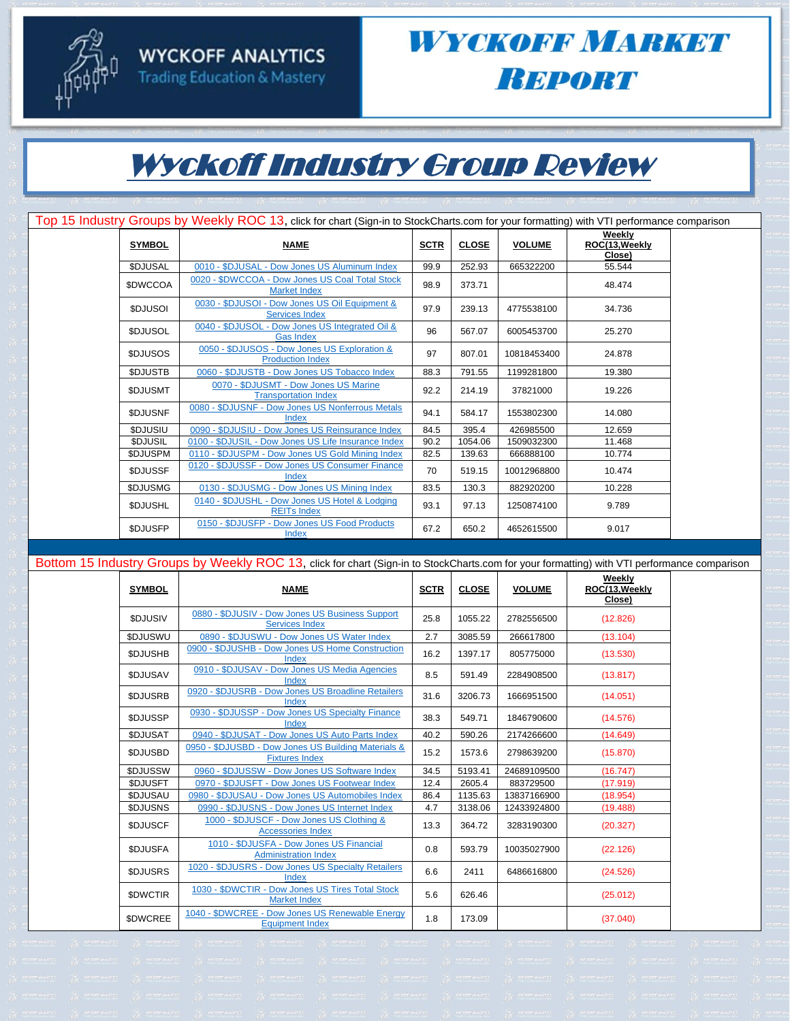



#### WYCKOFF MARKET **Вировт**

## Wyckoff Industry Group Review

|                 | Top 15 Industry Groups by Weekly ROC 13, click for chart (Sign-in to StockCharts.com for your formatting) with VTI performance comparison |             |              |               |                                    |  |
|-----------------|-------------------------------------------------------------------------------------------------------------------------------------------|-------------|--------------|---------------|------------------------------------|--|
| <b>SYMBOL</b>   | <b>NAME</b>                                                                                                                               | <b>SCTR</b> | <b>CLOSE</b> | <b>VOLUME</b> | Weekly<br>ROC(13, Weekly<br>Close) |  |
| \$DJUSAL        | 0010 - \$DJUSAL - Dow Jones US Aluminum Index                                                                                             | 99.9        | 252.93       | 665322200     | 55.544                             |  |
| <b>\$DWCCOA</b> | 0020 - \$DWCCOA - Dow Jones US Coal Total Stock<br><b>Market Index</b>                                                                    | 98.9        | 373.71       |               | 48.474                             |  |
| <b>SDJUSOI</b>  | 0030 - \$DJUSOI - Dow Jones US Oil Equipment &<br><b>Services Index</b>                                                                   | 97.9        | 239.13       | 4775538100    | 34.736                             |  |
| <b>SDJUSOL</b>  | 0040 - \$DJUSOL - Dow Jones US Integrated Oil &<br><b>Gas Index</b>                                                                       | 96          | 567.07       | 6005453700    | 25.270                             |  |
| <b>SDJUSOS</b>  | 0050 - \$DJUSOS - Dow Jones US Exploration &<br><b>Production Index</b>                                                                   | 97          | 807.01       | 10818453400   | 24.878                             |  |
| <b>SDJUSTB</b>  | 0060 - \$DJUSTB - Dow Jones US Tobacco Index                                                                                              | 88.3        | 791.55       | 1199281800    | 19.380                             |  |
| <b>\$DJUSMT</b> | 0070 - \$DJUSMT - Dow Jones US Marine<br><b>Transportation Index</b>                                                                      | 92.2        | 214.19       | 37821000      | 19.226                             |  |
| <b>SDJUSNF</b>  | 0080 - \$DJUSNF - Dow Jones US Nonferrous Metals<br>Index                                                                                 | 94.1        | 584.17       | 1553802300    | 14.080                             |  |
| \$DJUSIU        | 0090 - \$DJUSIU - Dow Jones US Reinsurance Index                                                                                          | 84.5        | 395.4        | 426985500     | 12.659                             |  |
| <b>SDJUSIL</b>  | 0100 - \$DJUSIL - Dow Jones US Life Insurance Index                                                                                       | 90.2        | 1054.06      | 1509032300    | 11.468                             |  |
| <b>\$DJUSPM</b> | 0110 - \$DJUSPM - Dow Jones US Gold Mining Index                                                                                          | 82.5        | 139.63       | 666888100     | 10.774                             |  |
| <b>SDJUSSF</b>  | 0120 - \$DJUSSF - Dow Jones US Consumer Finance<br>Index                                                                                  | 70          | 519.15       | 10012968800   | 10.474                             |  |
| <b>\$DJUSMG</b> | 0130 - \$DJUSMG - Dow Jones US Mining Index                                                                                               | 83.5        | 130.3        | 882920200     | 10.228                             |  |
| <b>\$DJUSHL</b> | 0140 - \$DJUSHL - Dow Jones US Hotel & Lodging<br><b>REITs Index</b>                                                                      | 93.1        | 97.13        | 1250874100    | 9.789                              |  |
| <b>SDJUSFP</b>  | 0150 - \$DJUSFP - Dow Jones US Food Products<br>Index                                                                                     | 67.2        | 650.2        | 4652615500    | 9.017                              |  |

Bottom 15 Industry Groups by Weekly ROC 13, click for chart (Sign-in to StockCharts.com for your formatting) with VTI performance comparison **SYMBOL NAME SCTR CLOSE VOLUME Weekly ROC(13,Weekly** 

| <b>SYMBOL</b>   | <b>NAME</b>                                                                  | <b>SCTR</b> | <b>CLOSE</b> | <b>VOLUME</b> | ROC(13, Weekly<br>Close) |
|-----------------|------------------------------------------------------------------------------|-------------|--------------|---------------|--------------------------|
| <b>SDJUSIV</b>  | 0880 - \$DJUSIV - Dow Jones US Business Support<br><b>Services Index</b>     | 25.8        | 1055.22      | 2782556500    | (12.826)                 |
| \$DJUSWU        | 0890 - \$DJUSWU - Dow Jones US Water Index                                   | 2.7         | 3085.59      | 266617800     | (13.104)                 |
| <b>SDJUSHB</b>  | 0900 - \$DJUSHB - Dow Jones US Home Construction<br>Index                    | 16.2        | 1397.17      | 805775000     | (13.530)                 |
| <b>SDJUSAV</b>  | 0910 - \$DJUSAV - Dow Jones US Media Agencies<br>Index                       | 8.5         | 591.49       | 2284908500    | (13.817)                 |
| <b>\$DJUSRB</b> | 0920 - \$DJUSRB - Dow Jones US Broadline Retailers<br>Index                  | 31.6        | 3206.73      | 1666951500    | (14.051)                 |
| <b>\$DJUSSP</b> | 0930 - \$DJUSSP - Dow Jones US Specialty Finance<br>Index                    | 38.3        | 549.71       | 1846790600    | (14.576)                 |
| <b>SDJUSAT</b>  | 0940 - \$DJUSAT - Dow Jones US Auto Parts Index                              | 40.2        | 590.26       | 2174266600    | (14.649)                 |
| \$DJUSBD        | 0950 - \$DJUSBD - Dow Jones US Building Materials &<br><b>Fixtures Index</b> | 15.2        | 1573.6       | 2798639200    | (15.870)                 |
| \$DJUSSW        | 0960 - \$DJUSSW - Dow Jones US Software Index                                | 34.5        | 5193.41      | 24689109500   | (16.747)                 |
| \$DJUSFT        | 0970 - \$DJUSFT - Dow Jones US Footwear Index                                | 12.4        | 2605.4       | 883729500     | (17.919)                 |
| <b>SDJUSAU</b>  | 0980 - \$DJUSAU - Dow Jones US Automobiles Index                             | 86.4        | 1135.63      | 13837166900   | (18.954)                 |
| \$DJUSNS        | 0990 - \$DJUSNS - Dow Jones US Internet Index                                | 4.7         | 3138.06      | 12433924800   | (19.488)                 |
| \$DJUSCF        | 1000 - \$DJUSCF - Dow Jones US Clothing &<br><b>Accessories Index</b>        | 13.3        | 364.72       | 3283190300    | (20.327)                 |
| <b>SDJUSFA</b>  | 1010 - \$DJUSFA - Dow Jones US Financial<br><b>Administration Index</b>      | 0.8         | 593.79       | 10035027900   | (22.126)                 |
| \$DJUSRS        | 1020 - \$DJUSRS - Dow Jones US Specialty Retailers<br>Index                  | 6.6         | 2411         | 6486616800    | (24.526)                 |
| <b>SDWCTIR</b>  | 1030 - \$DWCTIR - Dow Jones US Tires Total Stock<br><b>Market Index</b>      | 5.6         | 626.46       |               | (25.012)                 |
| <b>SDWCREE</b>  | 1040 - \$DWCREE - Dow Jones US Renewable Energy<br><b>Equipment Index</b>    | 1.8         | 173.09       |               | (37.040)                 |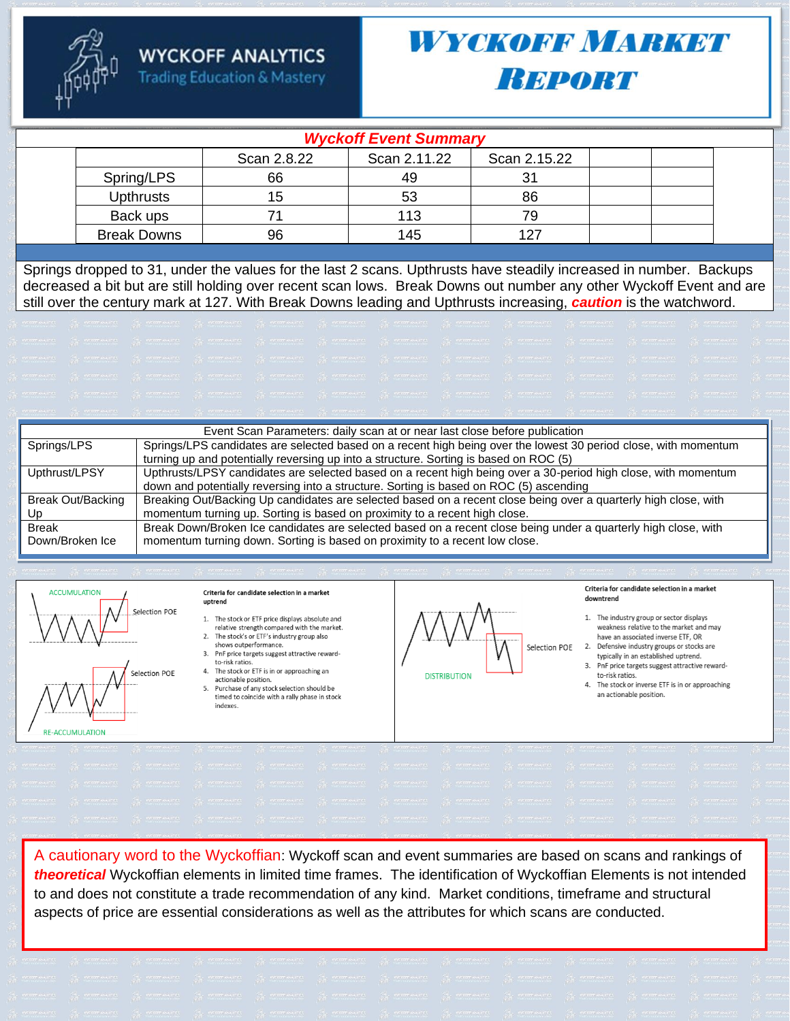

#### **Trading Education & Mastery**

# *WYOKOBB MARKEY* **Вы ровт**

| <b>Wyckoff Event Summary</b> |             |              |              |  |  |  |  |  |
|------------------------------|-------------|--------------|--------------|--|--|--|--|--|
|                              | Scan 2.8.22 | Scan 2.11.22 | Scan 2.15.22 |  |  |  |  |  |
| Spring/LPS                   | 66          | 49           |              |  |  |  |  |  |
| <b>Upthrusts</b>             | 15          | 53           | 86           |  |  |  |  |  |
| Back ups                     |             | 113          |              |  |  |  |  |  |
| <b>Break Downs</b>           | 96          | 145          | 127          |  |  |  |  |  |

Springs dropped to 31, under the values for the last 2 scans. Upthrusts have steadily increased in number. Backups decreased a bit but are still holding over recent scan lows. Break Downs out number any other Wyckoff Event and are still over the century mark at 127. With Break Downs leading and Upthrusts increasing, **caution** is the watchword.

|                   | Event Scan Parameters: daily scan at or near last close before publication                                      |  |  |  |  |  |
|-------------------|-----------------------------------------------------------------------------------------------------------------|--|--|--|--|--|
| Springs/LPS       | Springs/LPS candidates are selected based on a recent high being over the lowest 30 period close, with momentum |  |  |  |  |  |
|                   | turning up and potentially reversing up into a structure. Sorting is based on ROC (5)                           |  |  |  |  |  |
| Upthrust/LPSY     | Upthrusts/LPSY candidates are selected based on a recent high being over a 30-period high close, with momentum  |  |  |  |  |  |
|                   | down and potentially reversing into a structure. Sorting is based on ROC (5) ascending                          |  |  |  |  |  |
| Break Out/Backing | Breaking Out/Backing Up candidates are selected based on a recent close being over a quarterly high close, with |  |  |  |  |  |
| Up                | momentum turning up. Sorting is based on proximity to a recent high close.                                      |  |  |  |  |  |
| <b>Break</b>      | Break Down/Broken Ice candidates are selected based on a recent close being under a quarterly high close, with  |  |  |  |  |  |
| Down/Broken Ice   | momentum turning down. Sorting is based on proximity to a recent low close.                                     |  |  |  |  |  |
|                   |                                                                                                                 |  |  |  |  |  |



**RE-ACCUMULATION** 

- actionable position.
- $5<sub>1</sub>$ Purchase of any stock selection should be timed to coincide with a rally phase in stock indexes.



Criteria for candidate selection in a market downtrend

1. The industry group or sector displays weakness relative to the market and may have an associated inverse ETF, OR

- 2. Defensive industry groups or stocks are typically in an established uptrend.
- 3. PnF price targets suggest attractive rewardto-risk ratios.
- The stock or inverse ETF is in or approaching an actionable position.

A cautionary word to the Wyckoffian: Wyckoff scan and event summaries are based on scans and rankings of theoretical Wyckoffian elements in limited time frames. The identification of Wyckoffian Elements is not intended to and does not constitute a trade recommendation of any kind. Market conditions, timeframe and structural aspects of price are essential considerations as well as the attributes for which scans are conducted.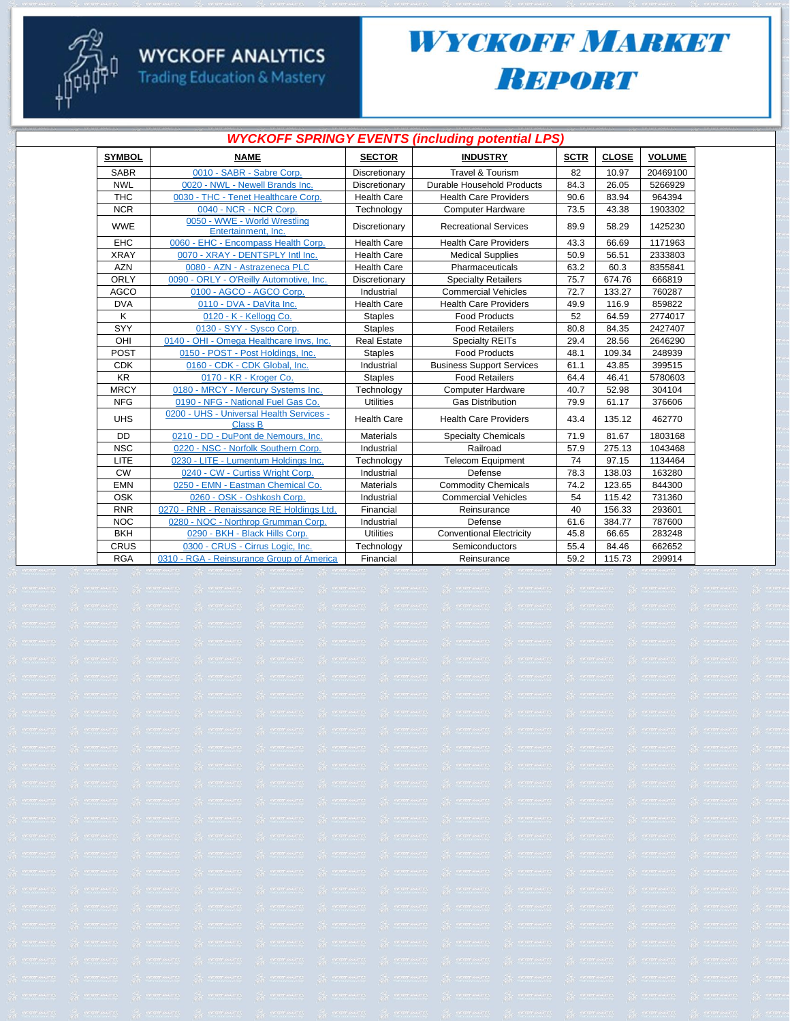

# **WYCKOFF ANALYTICS**<br>Trading Education & Mastery

## WYCKOFF MARKET **REPORT**

| <b>WYCKOFF SPRINGY EVENTS (including potential LPS)</b> |                                                            |                    |                                  |             |              |               |  |  |  |
|---------------------------------------------------------|------------------------------------------------------------|--------------------|----------------------------------|-------------|--------------|---------------|--|--|--|
| <b>SYMBOL</b>                                           | <b>NAME</b>                                                | <b>SECTOR</b>      | <b>INDUSTRY</b>                  | <b>SCTR</b> | <b>CLOSE</b> | <b>VOLUME</b> |  |  |  |
| <b>SABR</b>                                             | 0010 - SABR - Sabre Corp.                                  | Discretionary      | <b>Travel &amp; Tourism</b>      | 82          | 10.97        | 20469100      |  |  |  |
| <b>NWL</b>                                              | 0020 - NWL - Newell Brands Inc.                            | Discretionary      | Durable Household Products       | 84.3        | 26.05        | 5266929       |  |  |  |
| <b>THC</b>                                              | 0030 - THC - Tenet Healthcare Corp.                        | <b>Health Care</b> | <b>Health Care Providers</b>     | 90.6        | 83.94        | 964394        |  |  |  |
| <b>NCR</b>                                              | 0040 - NCR - NCR Corp.                                     | Technology         | <b>Computer Hardware</b>         | 73.5        | 43.38        | 1903302       |  |  |  |
| <b>WWE</b>                                              | 0050 - WWE - World Wrestling<br>Entertainment. Inc.        | Discretionary      | <b>Recreational Services</b>     | 89.9        | 58.29        | 1425230       |  |  |  |
| EHC                                                     | 0060 - EHC - Encompass Health Corp.                        | <b>Health Care</b> | <b>Health Care Providers</b>     | 43.3        | 66.69        | 1171963       |  |  |  |
| <b>XRAY</b>                                             | 0070 - XRAY - DENTSPLY Intl Inc.                           | <b>Health Care</b> | <b>Medical Supplies</b>          | 50.9        | 56.51        | 2333803       |  |  |  |
| <b>AZN</b>                                              | 0080 - AZN - Astrazeneca PLC                               | <b>Health Care</b> | Pharmaceuticals                  | 63.2        | 60.3         | 8355841       |  |  |  |
| <b>ORLY</b>                                             | 0090 - ORLY - O'Reilly Automotive, Inc.                    | Discretionary      | <b>Specialty Retailers</b>       | 75.7        | 674.76       | 666819        |  |  |  |
| <b>AGCO</b>                                             | 0100 - AGCO - AGCO Corp.                                   | Industrial         | <b>Commercial Vehicles</b>       | 72.7        | 133.27       | 760287        |  |  |  |
| <b>DVA</b>                                              | 0110 - DVA - DaVita Inc.                                   | <b>Health Care</b> | <b>Health Care Providers</b>     | 49.9        | 116.9        | 859822        |  |  |  |
| Κ                                                       | 0120 - K - Kellogg Co.                                     | <b>Staples</b>     | <b>Food Products</b>             | 52          | 64.59        | 2774017       |  |  |  |
| SYY                                                     | 0130 - SYY - Sysco Corp.                                   | <b>Staples</b>     | <b>Food Retailers</b>            | 80.8        | 84.35        | 2427407       |  |  |  |
| OHI                                                     | 0140 - OHI - Omega Healthcare Invs, Inc.                   | <b>Real Estate</b> | <b>Specialty REITs</b>           | 29.4        | 28.56        | 2646290       |  |  |  |
| POST                                                    | 0150 - POST - Post Holdings, Inc.                          | <b>Staples</b>     | <b>Food Products</b>             | 48.1        | 109.34       | 248939        |  |  |  |
| <b>CDK</b>                                              | 0160 - CDK - CDK Global, Inc.                              | Industrial         | <b>Business Support Services</b> | 61.1        | 43.85        | 399515        |  |  |  |
| <b>KR</b>                                               | 0170 - KR - Kroger Co.                                     | <b>Staples</b>     | <b>Food Retailers</b>            | 64.4        | 46.41        | 5780603       |  |  |  |
| <b>MRCY</b>                                             | 0180 - MRCY - Mercury Systems Inc.                         | Technology         | <b>Computer Hardware</b>         | 40.7        | 52.98        | 304104        |  |  |  |
| <b>NFG</b>                                              | 0190 - NFG - National Fuel Gas Co.                         | <b>Utilities</b>   | <b>Gas Distribution</b>          | 79.9        | 61.17        | 376606        |  |  |  |
| <b>UHS</b>                                              | 0200 - UHS - Universal Health Services -<br><b>Class B</b> | <b>Health Care</b> | <b>Health Care Providers</b>     | 43.4        | 135.12       | 462770        |  |  |  |
| DD                                                      | 0210 - DD - DuPont de Nemours, Inc.                        | <b>Materials</b>   | <b>Specialty Chemicals</b>       | 71.9        | 81.67        | 1803168       |  |  |  |
| <b>NSC</b>                                              | 0220 - NSC - Norfolk Southern Corp.                        | Industrial         | Railroad                         | 57.9        | 275.13       | 1043468       |  |  |  |
| LITE                                                    | 0230 - LITE - Lumentum Holdings Inc.                       | Technology         | <b>Telecom Equipment</b>         | 74          | 97.15        | 1134464       |  |  |  |
| <b>CW</b>                                               | 0240 - CW - Curtiss Wright Corp.                           | Industrial         | Defense                          | 78.3        | 138.03       | 163280        |  |  |  |
| <b>EMN</b>                                              | 0250 - EMN - Eastman Chemical Co.                          | <b>Materials</b>   | <b>Commodity Chemicals</b>       | 74.2        | 123.65       | 844300        |  |  |  |
| <b>OSK</b>                                              | 0260 - OSK - Oshkosh Corp.                                 | Industrial         | <b>Commercial Vehicles</b>       | 54          | 115.42       | 731360        |  |  |  |
| <b>RNR</b>                                              | 0270 - RNR - Renaissance RE Holdings Ltd.                  | Financial          | Reinsurance                      | 40          | 156.33       | 293601        |  |  |  |
| <b>NOC</b>                                              | 0280 - NOC - Northrop Grumman Corp.                        | Industrial         | Defense                          | 61.6        | 384.77       | 787600        |  |  |  |
| <b>BKH</b>                                              | 0290 - BKH - Black Hills Corp.                             | <b>Utilities</b>   | <b>Conventional Electricity</b>  | 45.8        | 66.65        | 283248        |  |  |  |
| CRUS                                                    | 0300 - CRUS - Cirrus Logic, Inc.                           | Technology         | Semiconductors                   | 55.4        | 84.46        | 662652        |  |  |  |
| <b>RGA</b>                                              | 0310 - RGA - Reinsurance Group of America                  | Financial          | Reinsurance                      | 59.2        | 115.73       | 299914        |  |  |  |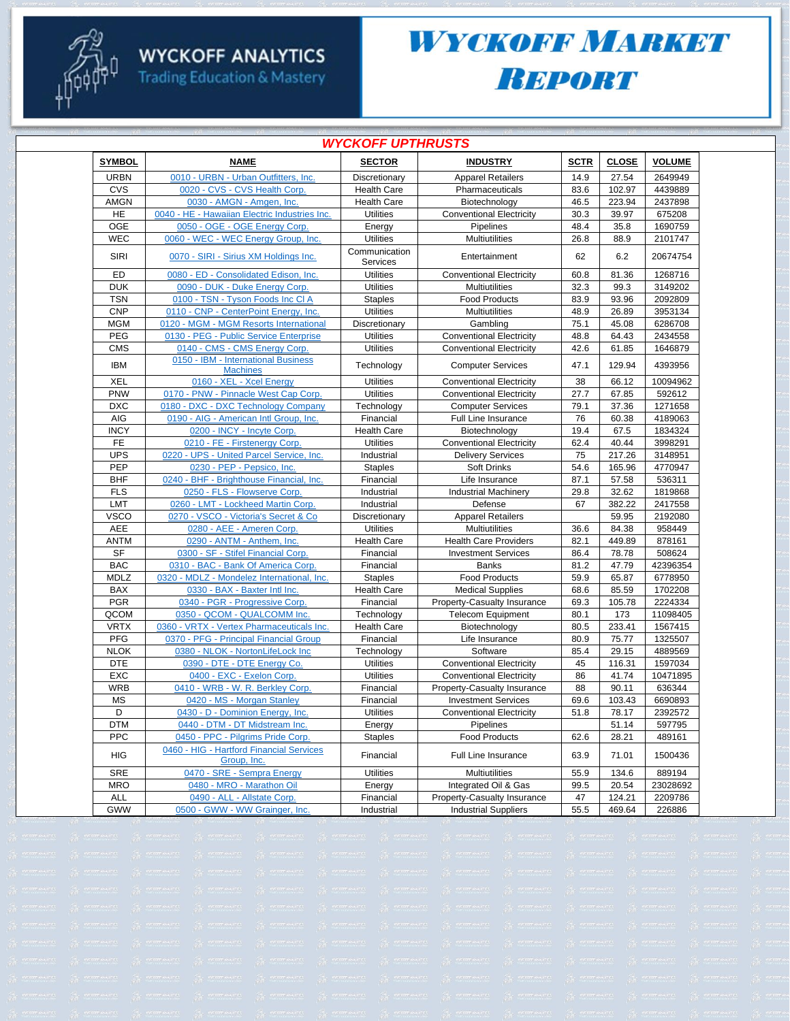

**Trading Education & Mastery** 

### WYCKOFF MARKET **BEPORT**

| <b>WYCKOFF UPTHRUSTS</b> |                                                         |                           |                                 |             |              |               |  |  |
|--------------------------|---------------------------------------------------------|---------------------------|---------------------------------|-------------|--------------|---------------|--|--|
| <b>SYMBOL</b>            | <b>NAME</b>                                             | <b>SECTOR</b>             | <b>INDUSTRY</b>                 | <b>SCTR</b> | <b>CLOSE</b> | <b>VOLUME</b> |  |  |
| <b>URBN</b>              | 0010 - URBN - Urban Outfitters, Inc.                    | Discretionary             | <b>Apparel Retailers</b>        | 14.9        | 27.54        | 2649949       |  |  |
| CVS                      | 0020 - CVS - CVS Health Corp.                           | <b>Health Care</b>        | Pharmaceuticals                 | 83.6        | 102.97       | 4439889       |  |  |
| AMGN                     | 0030 - AMGN - Amgen, Inc.                               | <b>Health Care</b>        | Biotechnology                   | 46.5        | 223.94       | 2437898       |  |  |
| HE                       | 0040 - HE - Hawaiian Electric Industries Inc.           | <b>Utilities</b>          | <b>Conventional Electricity</b> | 30.3        | 39.97        | 675208        |  |  |
| OGE                      | 0050 - OGE - OGE Energy Corp.                           | Energy                    | Pipelines                       | 48.4        | 35.8         | 1690759       |  |  |
| <b>WEC</b>               | 0060 - WEC - WEC Energy Group, Inc.                     | <b>Utilities</b>          | Multiutilities                  | 26.8        | 88.9         | 2101747       |  |  |
| SIRI                     | 0070 - SIRI - Sirius XM Holdings Inc.                   | Communication<br>Services | Entertainment                   | 62          | 6.2          | 20674754      |  |  |
| ED                       | 0080 - ED - Consolidated Edison, Inc.                   | <b>Utilities</b>          | <b>Conventional Electricity</b> | 60.8        | 81.36        | 1268716       |  |  |
| <b>DUK</b>               | 0090 - DUK - Duke Energy Corp.                          | <b>Utilities</b>          | <b>Multiutilities</b>           | 32.3        | 99.3         | 3149202       |  |  |
| <b>TSN</b>               | 0100 - TSN - Tyson Foods Inc CI A                       | <b>Staples</b>            | <b>Food Products</b>            | 83.9        | 93.96        | 2092809       |  |  |
| <b>CNP</b>               | 0110 - CNP - CenterPoint Energy, Inc.                   | <b>Utilities</b>          | Multiutilities                  | 48.9        | 26.89        | 3953134       |  |  |
| <b>MGM</b>               | 0120 - MGM - MGM Resorts International                  | Discretionary             | Gambling                        | 75.1        | 45.08        | 6286708       |  |  |
| PEG                      | 0130 - PEG - Public Service Enterprise                  | <b>Utilities</b>          | <b>Conventional Electricity</b> | 48.8        | 64.43        | 2434558       |  |  |
| <b>CMS</b>               | 0140 - CMS - CMS Energy Corp.                           | <b>Utilities</b>          | <b>Conventional Electricity</b> | 42.6        | 61.85        | 1646879       |  |  |
| <b>IBM</b>               | 0150 - IBM - International Business<br><b>Machines</b>  | Technology                | <b>Computer Services</b>        | 47.1        | 129.94       | 4393956       |  |  |
| <b>XEL</b>               | 0160 - XEL - Xcel Energy                                | <b>Utilities</b>          | <b>Conventional Electricity</b> | 38          | 66.12        | 10094962      |  |  |
| PNW                      | 0170 - PNW - Pinnacle West Cap Corp.                    | <b>Utilities</b>          | <b>Conventional Electricity</b> | 27.7        | 67.85        | 592612        |  |  |
| <b>DXC</b>               | 0180 - DXC - DXC Technology Company                     | Technology                | <b>Computer Services</b>        | 79.1        | 37.36        | 1271658       |  |  |
| AIG                      | 0190 - AIG - American Intl Group, Inc.                  | Financial                 | Full Line Insurance             | 76          | 60.38        | 4189063       |  |  |
| <b>INCY</b>              | 0200 - INCY - Incyte Corp.                              | <b>Health Care</b>        | Biotechnology                   | 19.4        | 67.5         | 1834324       |  |  |
| FE                       | 0210 - FE - Firstenergy Corp.                           | <b>Utilities</b>          | <b>Conventional Electricity</b> | 62.4        | 40.44        | 3998291       |  |  |
| <b>UPS</b>               | 0220 - UPS - United Parcel Service, Inc.                | Industrial                | <b>Delivery Services</b>        | 75          | 217.26       | 3148951       |  |  |
| PEP                      | 0230 - PEP - Pepsico, Inc.                              | <b>Staples</b>            | Soft Drinks                     | 54.6        | 165.96       | 4770947       |  |  |
| <b>BHF</b>               | 0240 - BHF - Brighthouse Financial, Inc.                | Financial                 | Life Insurance                  | 87.1        | 57.58        | 536311        |  |  |
| <b>FLS</b>               | 0250 - FLS - Flowserve Corp.                            | Industrial                | <b>Industrial Machinery</b>     | 29.8        | 32.62        | 1819868       |  |  |
| <b>LMT</b>               | 0260 - LMT - Lockheed Martin Corp.                      | Industrial                | Defense                         | 67          | 382.22       | 2417558       |  |  |
| <b>VSCO</b>              | 0270 - VSCO - Victoria's Secret & Co                    | Discretionary             | <b>Apparel Retailers</b>        |             | 59.95        | 2192080       |  |  |
| <b>AEE</b>               | 0280 - AEE - Ameren Corp.                               | <b>Utilities</b>          | Multiutilities                  | 36.6        | 84.38        | 958449        |  |  |
| <b>ANTM</b>              | 0290 - ANTM - Anthem, Inc.                              | <b>Health Care</b>        | <b>Health Care Providers</b>    | 82.1        | 449.89       | 878161        |  |  |
| <b>SF</b>                | 0300 - SF - Stifel Financial Corp.                      | Financial                 | <b>Investment Services</b>      | 86.4        | 78.78        | 508624        |  |  |
| <b>BAC</b>               | 0310 - BAC - Bank Of America Corp.                      | Financial                 | <b>Banks</b>                    | 81.2        | 47.79        | 42396354      |  |  |
| MDLZ                     | 0320 - MDLZ - Mondelez International, Inc.              | <b>Staples</b>            | <b>Food Products</b>            | 59.9        | 65.87        | 6778950       |  |  |
| <b>BAX</b>               | 0330 - BAX - Baxter Intl Inc.                           | <b>Health Care</b>        | <b>Medical Supplies</b>         | 68.6        | 85.59        | 1702208       |  |  |
| <b>PGR</b>               | 0340 - PGR - Progressive Corp.                          | Financial                 | Property-Casualty Insurance     | 69.3        | 105.78       | 2224334       |  |  |
| QCOM                     | 0350 - QCOM - QUALCOMM Inc.                             | Technology                | <b>Telecom Equipment</b>        | 80.1        | 173          | 11098405      |  |  |
| <b>VRTX</b>              | 0360 - VRTX - Vertex Pharmaceuticals Inc.               | <b>Health Care</b>        | Biotechnology                   | 80.5        | 233.41       | 1567415       |  |  |
| PFG                      | 0370 - PFG - Principal Financial Group                  | Financial                 | Life Insurance                  | 80.9        | 75.77        | 1325507       |  |  |
| <b>NLOK</b>              | 0380 - NLOK - NortonLifeLock Inc                        | Technology                | Software                        | 85.4        | 29.15        | 4889569       |  |  |
| <b>DTE</b>               | 0390 - DTE - DTE Energy Co.                             | <b>Utilities</b>          | <b>Conventional Electricity</b> | 45          | 116.31       | 1597034       |  |  |
| <b>EXC</b>               | 0400 - EXC - Exelon Corp.                               | <b>Utilities</b>          | <b>Conventional Electricity</b> | 86          | 41.74        | 10471895      |  |  |
| <b>WRB</b>               | 0410 - WRB - W. R. Berkley Corp.                        | Financial                 | Property-Casualty Insurance     | 88          | 90.11        | 636344        |  |  |
| <b>MS</b>                | 0420 - MS - Morgan Stanley                              | Financial                 | <b>Investment Services</b>      | 69.6        | 103.43       | 6690893       |  |  |
| D                        | 0430 - D - Dominion Energy, Inc.                        | <b>Utilities</b>          | <b>Conventional Electricity</b> | 51.8        | 78.17        | 2392572       |  |  |
| <b>DTM</b>               | 0440 - DTM - DT Midstream Inc.                          | Energy                    | Pipelines                       |             | 51.14        | 597795        |  |  |
| <b>PPC</b>               | 0450 - PPC - Pilgrims Pride Corp.                       | <b>Staples</b>            | <b>Food Products</b>            | 62.6        | 28.21        | 489161        |  |  |
| HIG                      | 0460 - HIG - Hartford Financial Services<br>Group, Inc. | Financial                 | Full Line Insurance             | 63.9        | 71.01        | 1500436       |  |  |
| SRE                      | 0470 - SRE - Sempra Energy                              | <b>Utilities</b>          | Multiutilities                  | 55.9        | 134.6        | 889194        |  |  |
| <b>MRO</b>               | 0480 - MRO - Marathon Oil                               | Energy                    | Integrated Oil & Gas            | 99.5        | 20.54        | 23028692      |  |  |
| ALL                      | 0490 - ALL - Allstate Corp.                             | Financial                 | Property-Casualty Insurance     | 47          | 124.21       | 2209786       |  |  |
| <b>GWW</b>               | 0500 - GWW - WW Grainger, Inc.                          | Industrial                | <b>Industrial Suppliers</b>     | 55.5        | 469.64       | 226886        |  |  |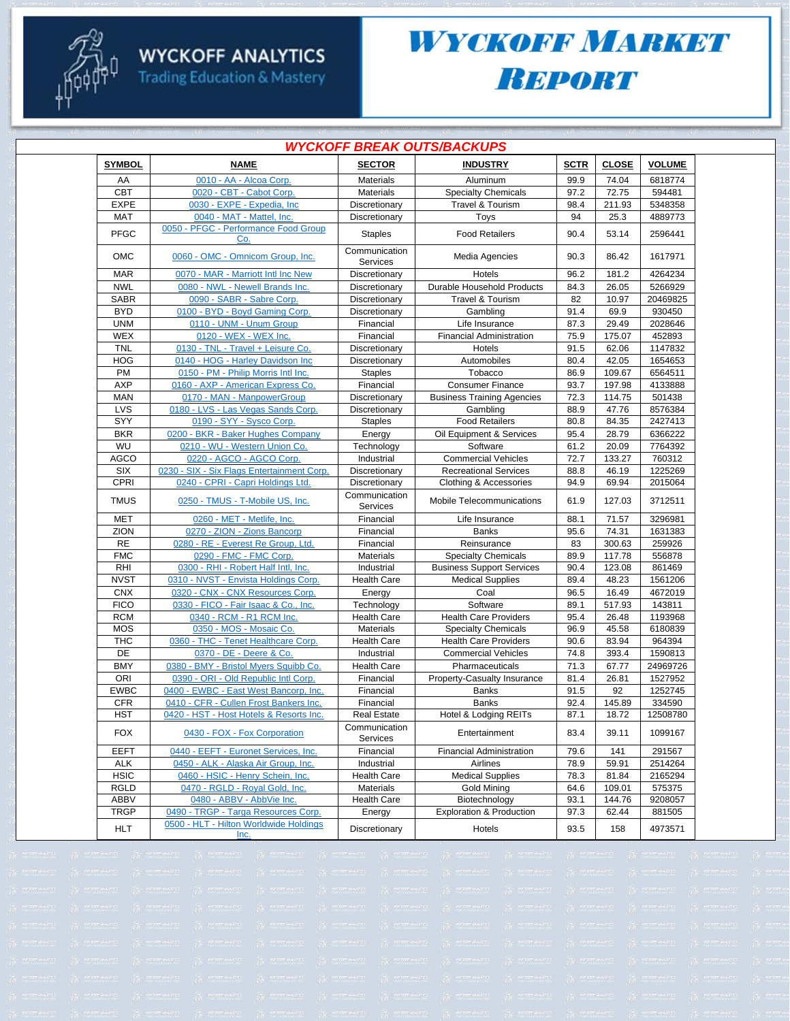

### WYCKOFF MARKET **BEPORT**

| <i><b>WYCKOFF BREAK OUTS/BACKUPS</b></i> |                                                |                           |                                     |             |              |               |  |  |
|------------------------------------------|------------------------------------------------|---------------------------|-------------------------------------|-------------|--------------|---------------|--|--|
| <b>SYMBOL</b>                            | <b>NAME</b>                                    | <b>SECTOR</b>             | <b>INDUSTRY</b>                     | <b>SCTR</b> | <b>CLOSE</b> | <b>VOLUME</b> |  |  |
| AA                                       | 0010 - AA - Alcoa Corp.                        | <b>Materials</b>          | Aluminum                            | 99.9        | 74.04        | 6818774       |  |  |
| <b>CBT</b>                               | 0020 - CBT - Cabot Corp.                       | Materials                 | <b>Specialty Chemicals</b>          | 97.2        | 72.75        | 594481        |  |  |
| <b>EXPE</b>                              | 0030 - EXPE - Expedia, Inc                     | Discretionary             | Travel & Tourism                    | 98.4        | 211.93       | 5348358       |  |  |
| <b>MAT</b>                               | 0040 - MAT - Mattel, Inc.                      | Discretionary             | Toys                                | 94          | 25.3         | 4889773       |  |  |
| <b>PFGC</b>                              | 0050 - PFGC - Performance Food Group<br>Co.    | <b>Staples</b>            | <b>Food Retailers</b>               | 90.4        | 53.14        | 2596441       |  |  |
| <b>OMC</b>                               | 0060 - OMC - Omnicom Group, Inc.               | Communication<br>Services | Media Agencies                      | 90.3        | 86.42        | 1617971       |  |  |
| <b>MAR</b>                               | 0070 - MAR - Marriott Intl Inc New             | Discretionary             | Hotels                              | 96.2        | 181.2        | 4264234       |  |  |
| <b>NWL</b>                               | 0080 - NWL - Newell Brands Inc.                | Discretionary             | Durable Household Products          | 84.3        | 26.05        | 5266929       |  |  |
| <b>SABR</b>                              | 0090 - SABR - Sabre Corp.                      | Discretionary             | Travel & Tourism                    | 82          | 10.97        | 20469825      |  |  |
| <b>BYD</b>                               | 0100 - BYD - Boyd Gaming Corp.                 | Discretionary             | Gambling                            | 91.4        | 69.9         | 930450        |  |  |
| <b>UNM</b>                               | 0110 - UNM - Unum Group                        | Financial                 | Life Insurance                      | 87.3        | 29.49        | 2028646       |  |  |
| WEX                                      | 0120 - WEX - WEX Inc.                          | Financial                 | <b>Financial Administration</b>     | 75.9        | 175.07       | 452893        |  |  |
| <b>TNL</b>                               | 0130 - TNL - Travel + Leisure Co.              | Discretionary             | Hotels                              | 91.5        | 62.06        | 1147832       |  |  |
| <b>HOG</b>                               | 0140 - HOG - Harley Davidson Inc               | Discretionary             | Automobiles                         | 80.4        | 42.05        | 1654653       |  |  |
| PM                                       | 0150 - PM - Philip Morris Intl Inc.            | <b>Staples</b>            | Tobacco                             | 86.9        | 109.67       | 6564511       |  |  |
| <b>AXP</b>                               | 0160 - AXP - American Express Co.              | Financial                 | <b>Consumer Finance</b>             | 93.7        | 197.98       | 4133888       |  |  |
| <b>MAN</b>                               | 0170 - MAN - ManpowerGroup                     | Discretionary             | <b>Business Training Agencies</b>   | 72.3        | 114.75       | 501438        |  |  |
| LVS                                      | 0180 - LVS - Las Vegas Sands Corp.             | Discretionary             | Gambling                            | 88.9        | 47.76        | 8576384       |  |  |
| SYY                                      | 0190 - SYY - Sysco Corp.                       | <b>Staples</b>            | <b>Food Retailers</b>               | 80.8        | 84.35        | 2427413       |  |  |
| <b>BKR</b>                               | 0200 - BKR - Baker Hughes Company              | Energy                    | Oil Equipment & Services            | 95.4        | 28.79        | 6366222       |  |  |
| WU                                       | 0210 - WU - Western Union Co.                  | Technology                | Software                            | 61.2        | 20.09        | 7764392       |  |  |
| <b>AGCO</b>                              | 0220 - AGCO - AGCO Corp.                       | Industrial                | <b>Commercial Vehicles</b>          | 72.7        | 133.27       | 760312        |  |  |
| SIX                                      | 0230 - SIX - Six Flags Entertainment Corp.     | Discretionary             | <b>Recreational Services</b>        | 88.8        | 46.19        | 1225269       |  |  |
| CPRI                                     | 0240 - CPRI - Capri Holdings Ltd.              | Discretionary             | Clothing & Accessories              | 94.9        | 69.94        | 2015064       |  |  |
| <b>TMUS</b>                              | 0250 - TMUS - T-Mobile US, Inc.                | Communication<br>Services | Mobile Telecommunications           | 61.9        | 127.03       | 3712511       |  |  |
| <b>MET</b>                               | 0260 - MET - Metlife, Inc.                     | Financial                 | Life Insurance                      | 88.1        | 71.57        | 3296981       |  |  |
| ZION                                     | 0270 - ZION - Zions Bancorp                    | Financial                 | <b>Banks</b>                        | 95.6        | 74.31        | 1631383       |  |  |
| <b>RE</b>                                | 0280 - RE - Everest Re Group, Ltd.             | Financial                 | Reinsurance                         | 83          | 300.63       | 259926        |  |  |
| <b>FMC</b>                               | 0290 - FMC - FMC Corp.                         | <b>Materials</b>          | <b>Specialty Chemicals</b>          | 89.9        | 117.78       | 556878        |  |  |
| <b>RHI</b>                               | 0300 - RHI - Robert Half Intl, Inc.            | Industrial                | <b>Business Support Services</b>    | 90.4        | 123.08       | 861469        |  |  |
| <b>NVST</b>                              | 0310 - NVST - Envista Holdings Corp.           | <b>Health Care</b>        | <b>Medical Supplies</b>             | 89.4        | 48.23        | 1561206       |  |  |
| <b>CNX</b>                               | 0320 - CNX - CNX Resources Corp.               | Energy                    | Coal                                | 96.5        | 16.49        | 4672019       |  |  |
| <b>FICO</b>                              | 0330 - FICO - Fair Isaac & Co., Inc.           | Technology                | Software                            | 89.1        | 517.93       | 143811        |  |  |
| <b>RCM</b>                               | 0340 - RCM - R1 RCM Inc.                       | <b>Health Care</b>        | <b>Health Care Providers</b>        | 95.4        | 26.48        | 1193968       |  |  |
| <b>MOS</b>                               | 0350 - MOS - Mosaic Co.                        | <b>Materials</b>          | <b>Specialty Chemicals</b>          | 96.9        | 45.58        | 6180839       |  |  |
| <b>THC</b>                               | 0360 - THC - Tenet Healthcare Corp.            | Health Care               | <b>Health Care Providers</b>        | 90.6        | 83.94        | 964394        |  |  |
| DE                                       | 0370 - DE - Deere & Co.                        | Industrial                | <b>Commercial Vehicles</b>          | 74.8        | 393.4        | 1590813       |  |  |
| <b>BMY</b>                               | 0380 - BMY - Bristol Myers Squibb Co.          | <b>Health Care</b>        | Pharmaceuticals                     | 71.3        | 67.77        | 24969726      |  |  |
| ORI                                      | 0390 - ORI - Old Republic Intl Corp.           | Financial                 | Property-Casualty Insurance         | 81.4        | 26.81        | 1527952       |  |  |
| <b>EWBC</b>                              | 0400 - EWBC - East West Bancorp, Inc.          | Financial                 | <b>Banks</b>                        | 91.5        | 92           | 1252745       |  |  |
| <b>CFR</b>                               | 0410 - CFR - Cullen Frost Bankers Inc.         | Financial                 | <b>Banks</b>                        | 92.4        | 145.89       | 334590        |  |  |
| <b>HST</b>                               | 0420 - HST - Host Hotels & Resorts Inc.        | <b>Real Estate</b>        | Hotel & Lodging REITs               | 87.1        | 18.72        | 12508780      |  |  |
| <b>FOX</b>                               | 0430 - FOX - Fox Corporation                   | Communication<br>Services | Entertainment                       | 83.4        | 39.11        | 1099167       |  |  |
| <b>EEFT</b>                              | 0440 - EEFT - Euronet Services, Inc.           | Financial                 | <b>Financial Administration</b>     | 79.6        | 141          | 291567        |  |  |
| <b>ALK</b>                               | 0450 - ALK - Alaska Air Group, Inc.            | Industrial                | Airlines                            | 78.9        | 59.91        | 2514264       |  |  |
| <b>HSIC</b>                              | 0460 - HSIC - Henry Schein, Inc.               | <b>Health Care</b>        | <b>Medical Supplies</b>             | 78.3        | 81.84        | 2165294       |  |  |
| <b>RGLD</b>                              | 0470 - RGLD - Royal Gold, Inc.                 | <b>Materials</b>          | <b>Gold Mining</b>                  | 64.6        | 109.01       | 575375        |  |  |
| ABBV                                     | 0480 - ABBV - AbbVie Inc.                      | <b>Health Care</b>        | Biotechnology                       | 93.1        | 144.76       | 9208057       |  |  |
| <b>TRGP</b>                              | 0490 - TRGP - Targa Resources Corp.            | Energy                    | <b>Exploration &amp; Production</b> | 97.3        | 62.44        | 881505        |  |  |
| <b>HLT</b>                               | 0500 - HLT - Hilton Worldwide Holdings<br>Inc. | Discretionary             | Hotels                              | 93.5        | 158          | 4973571       |  |  |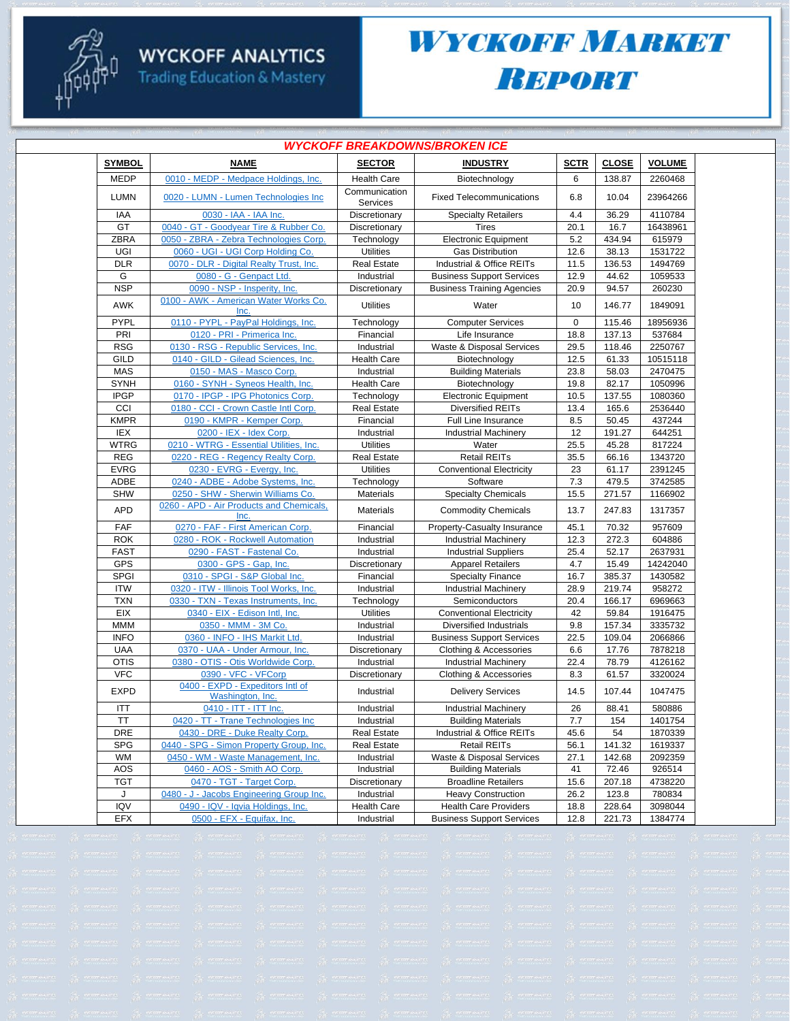

**Trading Education & Mastery** 

## WYCKOFF MARKET **BEPORT**

| <b>WYCKOFF BREAKDOWNS/BROKEN ICE</b> |                                                                        |                                |                                                            |              |                  |                    |  |  |  |
|--------------------------------------|------------------------------------------------------------------------|--------------------------------|------------------------------------------------------------|--------------|------------------|--------------------|--|--|--|
| <b>SYMBOL</b>                        | <b>NAME</b>                                                            | <b>SECTOR</b>                  | <b>INDUSTRY</b>                                            | <b>SCTR</b>  | <b>CLOSE</b>     | <b>VOLUME</b>      |  |  |  |
| <b>MEDP</b>                          | 0010 - MEDP - Medpace Holdings, Inc.                                   | <b>Health Care</b>             | Biotechnology                                              | 6            | 138.87           | 2260468            |  |  |  |
| <b>LUMN</b>                          | 0020 - LUMN - Lumen Technologies Inc                                   | Communication<br>Services      | <b>Fixed Telecommunications</b>                            | 6.8          | 10.04            | 23964266           |  |  |  |
| IAA                                  | 0030 - IAA - IAA Inc.                                                  | Discretionary                  | <b>Specialty Retailers</b>                                 | 4.4          | 36.29            | 4110784            |  |  |  |
| GT                                   | 0040 - GT - Goodyear Tire & Rubber Co.                                 | Discretionary                  | <b>Tires</b>                                               | 20.1         | 16.7             | 16438961           |  |  |  |
| <b>ZBRA</b>                          | 0050 - ZBRA - Zebra Technologies Corp.                                 | Technology                     | <b>Electronic Equipment</b>                                | 5.2          | 434.94           | 615979             |  |  |  |
| UGI                                  | 0060 - UGI - UGI Corp Holding Co.                                      | <b>Utilities</b>               | <b>Gas Distribution</b>                                    | 12.6         | 38.13            | 1531722            |  |  |  |
| <b>DLR</b>                           | 0070 - DLR - Digital Realty Trust, Inc.                                | <b>Real Estate</b>             | Industrial & Office REITs                                  | 11.5         | 136.53           | 1494769            |  |  |  |
| G                                    | 0080 - G - Genpact Ltd.                                                | Industrial                     | <b>Business Support Services</b>                           | 12.9         | 44.62            | 1059533            |  |  |  |
| <b>NSP</b>                           | 0090 - NSP - Insperity, Inc.                                           | Discretionary                  | <b>Business Training Agencies</b>                          | 20.9         | 94.57            | 260230             |  |  |  |
| AWK                                  | 0100 - AWK - American Water Works Co.<br>Inc.                          | <b>Utilities</b>               | Water                                                      | 10           | 146.77           | 1849091            |  |  |  |
| PYPL                                 | 0110 - PYPL - PayPal Holdings, Inc.                                    | Technology                     | <b>Computer Services</b>                                   | $\mathbf 0$  | 115.46           | 18956936           |  |  |  |
| PRI                                  | 0120 - PRI - Primerica Inc.                                            | Financial                      | Life Insurance                                             | 18.8         | 137.13           | 537684             |  |  |  |
| <b>RSG</b>                           | 0130 - RSG - Republic Services, Inc.                                   | Industrial                     | Waste & Disposal Services                                  | 29.5         | 118.46           | 2250767            |  |  |  |
| GILD                                 | 0140 - GILD - Gilead Sciences, Inc.                                    | <b>Health Care</b>             | Biotechnology                                              | 12.5         | 61.33            | 10515118           |  |  |  |
| <b>MAS</b>                           | 0150 - MAS - Masco Corp.                                               | Industrial                     | <b>Building Materials</b>                                  | 23.8         | 58.03            | 2470475            |  |  |  |
| <b>SYNH</b>                          | 0160 - SYNH - Syneos Health, Inc.                                      | <b>Health Care</b>             | Biotechnology                                              | 19.8         | 82.17            | 1050996            |  |  |  |
| <b>IPGP</b>                          | 0170 - IPGP - IPG Photonics Corp.                                      | Technology                     | <b>Electronic Equipment</b>                                | 10.5         | 137.55           | 1080360            |  |  |  |
| CCI                                  | 0180 - CCI - Crown Castle Intl Corp.                                   | <b>Real Estate</b>             | <b>Diversified REITs</b>                                   | 13.4         | 165.6            | 2536440            |  |  |  |
| <b>KMPR</b>                          | 0190 - KMPR - Kemper Corp.                                             | Financial                      | Full Line Insurance                                        | 8.5          | 50.45            | 437244             |  |  |  |
| IEX                                  | 0200 - IEX - Idex Corp.                                                | Industrial                     | <b>Industrial Machinery</b>                                | 12           | 191.27           | 644251             |  |  |  |
| <b>WTRG</b>                          | 0210 - WTRG - Essential Utilities, Inc.                                | <b>Utilities</b>               | Water                                                      | 25.5         | 45.28            | 817224             |  |  |  |
| <b>REG</b>                           | 0220 - REG - Regency Realty Corp.                                      | <b>Real Estate</b>             | <b>Retail REITs</b>                                        | 35.5         | 66.16            | 1343720            |  |  |  |
| <b>EVRG</b><br><b>ADBE</b>           | 0230 - EVRG - Evergy, Inc.                                             | <b>Utilities</b>               | <b>Conventional Electricity</b>                            | 23           | 61.17            | 2391245            |  |  |  |
| <b>SHW</b>                           | 0240 - ADBE - Adobe Systems, Inc.<br>0250 - SHW - Sherwin Williams Co. | Technology<br><b>Materials</b> | Software<br><b>Specialty Chemicals</b>                     | 7.3<br>15.5  | 479.5            | 3742585<br>1166902 |  |  |  |
| <b>APD</b>                           | 0260 - APD - Air Products and Chemicals,                               | <b>Materials</b>               | <b>Commodity Chemicals</b>                                 | 13.7         | 271.57<br>247.83 | 1317357            |  |  |  |
|                                      | <b>Inc</b>                                                             |                                |                                                            |              |                  |                    |  |  |  |
| <b>FAF</b><br><b>ROK</b>             | 0270 - FAF - First American Corp.                                      | Financial                      | Property-Casualty Insurance                                | 45.1<br>12.3 | 70.32            | 957609<br>604886   |  |  |  |
| <b>FAST</b>                          | 0280 - ROK - Rockwell Automation<br>0290 - FAST - Fastenal Co.         | Industrial<br>Industrial       | <b>Industrial Machinery</b><br><b>Industrial Suppliers</b> | 25.4         | 272.3<br>52.17   | 2637931            |  |  |  |
| GPS                                  | 0300 - GPS - Gap, Inc.                                                 |                                | <b>Apparel Retailers</b>                                   | 4.7          | 15.49            | 14242040           |  |  |  |
| <b>SPGI</b>                          | 0310 - SPGI - S&P Global Inc.                                          | Discretionary<br>Financial     | <b>Specialty Finance</b>                                   | 16.7         | 385.37           | 1430582            |  |  |  |
| <b>ITW</b>                           | 0320 - ITW - Illinois Tool Works, Inc.                                 | Industrial                     | <b>Industrial Machinery</b>                                | 28.9         | 219.74           | 958272             |  |  |  |
| <b>TXN</b>                           | 0330 - TXN - Texas Instruments, Inc.                                   | Technology                     | Semiconductors                                             | 20.4         | 166.17           | 6969663            |  |  |  |
| EIX                                  | 0340 - EIX - Edison Intl, Inc.                                         | Utilities                      | <b>Conventional Electricity</b>                            | 42           | 59.84            | 1916475            |  |  |  |
| <b>MMM</b>                           | 0350 - MMM - 3M Co.                                                    | Industrial                     | Diversified Industrials                                    | 9.8          | 157.34           | 3335732            |  |  |  |
| <b>INFO</b>                          | 0360 - INFO - IHS Markit Ltd.                                          | Industrial                     | <b>Business Support Services</b>                           | 22.5         | 109.04           | 2066866            |  |  |  |
| <b>UAA</b>                           | 0370 - UAA - Under Armour, Inc.                                        | Discretionary                  | Clothing & Accessories                                     | 6.6          | 17.76            | 7878218            |  |  |  |
| <b>OTIS</b>                          | 0380 - OTIS - Otis Worldwide Corp.                                     | Industrial                     | <b>Industrial Machinery</b>                                | 22.4         | 78.79            | 4126162            |  |  |  |
| <b>VFC</b>                           | 0390 - VFC - VFCorp                                                    | Discretionary                  | Clothing & Accessories                                     | 8.3          | 61.57            | 3320024            |  |  |  |
| <b>EXPD</b>                          | 0400 - EXPD - Expeditors Intl of<br>Washington, Inc.                   | Industrial                     | <b>Delivery Services</b>                                   | 14.5         | 107.44           | 1047475            |  |  |  |
| ITT                                  | 0410 - ITT - ITT Inc.                                                  | Industrial                     | <b>Industrial Machinery</b>                                | 26           | 88.41            | 580886             |  |  |  |
| TT                                   | 0420 - TT - Trane Technologies Inc                                     | Industrial                     | <b>Building Materials</b>                                  | 7.7          | 154              | 1401754            |  |  |  |
| DRE                                  | 0430 - DRE - Duke Realty Corp.                                         | <b>Real Estate</b>             | Industrial & Office REITs                                  | 45.6         | 54               | 1870339            |  |  |  |
| <b>SPG</b>                           | 0440 - SPG - Simon Property Group, Inc.                                | <b>Real Estate</b>             | <b>Retail REITs</b>                                        | 56.1         | 141.32           | 1619337            |  |  |  |
| <b>WM</b>                            | 0450 - WM - Waste Management, Inc.                                     | Industrial                     | Waste & Disposal Services                                  | 27.1         | 142.68           | 2092359            |  |  |  |
| AOS                                  | 0460 - AOS - Smith AO Corp.                                            | Industrial                     | <b>Building Materials</b>                                  | 41           | 72.46            | 926514             |  |  |  |
| <b>TGT</b>                           | 0470 - TGT - Target Corp.                                              | Discretionary                  | <b>Broadline Retailers</b>                                 | 15.6         | 207.18           | 4738220            |  |  |  |
| J                                    | 0480 - J - Jacobs Engineering Group Inc.                               | Industrial                     | <b>Heavy Construction</b>                                  | 26.2         | 123.8            | 780834             |  |  |  |
| IQV                                  | 0490 - IQV - Iqvia Holdings, Inc.                                      | <b>Health Care</b>             | <b>Health Care Providers</b>                               | 18.8         | 228.64           | 3098044            |  |  |  |
| EFX                                  | 0500 - EFX - Equifax, Inc.                                             | Industrial                     | <b>Business Support Services</b>                           | 12.8         | 221.73           | 1384774            |  |  |  |
|                                      |                                                                        |                                |                                                            |              |                  |                    |  |  |  |